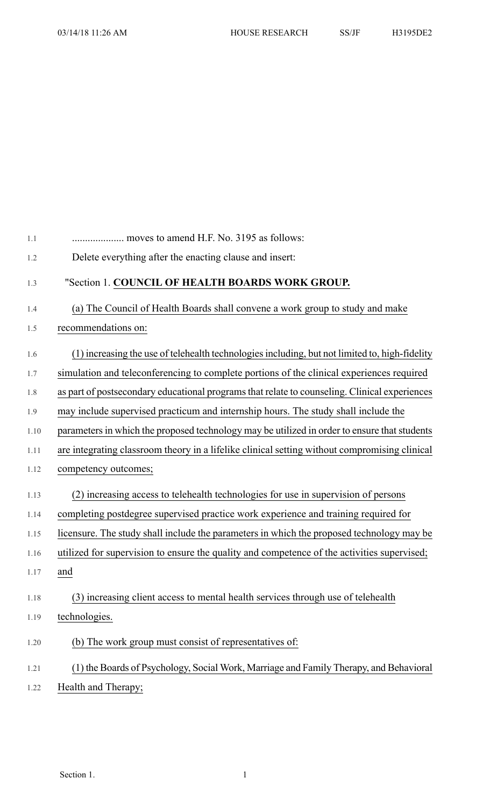| 1.1  |                                                                                                |
|------|------------------------------------------------------------------------------------------------|
| 1.2  | Delete everything after the enacting clause and insert:                                        |
| 1.3  | "Section 1. COUNCIL OF HEALTH BOARDS WORK GROUP.                                               |
| 1.4  | (a) The Council of Health Boards shall convene a work group to study and make                  |
| 1.5  | recommendations on:                                                                            |
| 1.6  | (1) increasing the use of telehealth technologies including, but not limited to, high-fidelity |
| 1.7  | simulation and teleconferencing to complete portions of the clinical experiences required      |
| 1.8  | as part of postsecondary educational programs that relate to counseling. Clinical experiences  |
| 1.9  | may include supervised practicum and internship hours. The study shall include the             |
| 1.10 | parameters in which the proposed technology may be utilized in order to ensure that students   |
| 1.11 | are integrating classroom theory in a lifelike clinical setting without compromising clinical  |
| 1.12 | competency outcomes;                                                                           |
| 1.13 | (2) increasing access to telehealth technologies for use in supervision of persons             |
| 1.14 | completing postdegree supervised practice work experience and training required for            |
| 1.15 | licensure. The study shall include the parameters in which the proposed technology may be      |
| 1.16 | utilized for supervision to ensure the quality and competence of the activities supervised;    |
| 1.17 | and                                                                                            |
| 1.18 | (3) increasing client access to mental health services through use of telehealth               |
| 1.19 | technologies.                                                                                  |
| 1.20 | (b) The work group must consist of representatives of:                                         |
| 1.21 | (1) the Boards of Psychology, Social Work, Marriage and Family Therapy, and Behavioral         |
| 1.22 | Health and Therapy;                                                                            |